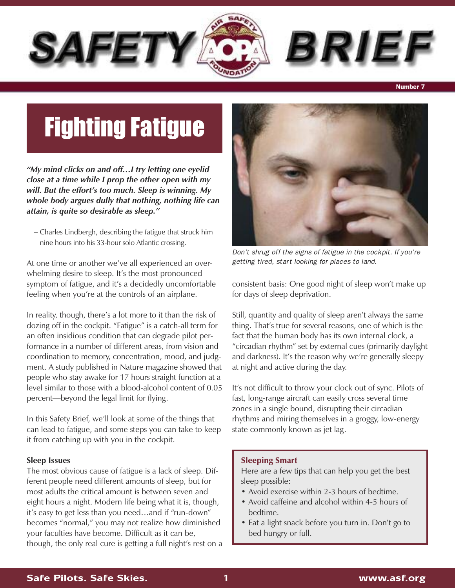

## **Number 7**

# Fighting Fatigue

*"My mind clicks on and off…I try letting one eyelid close at a time while I prop the other open with my will. But the effort's too much. Sleep is winning. My whole body argues dully that nothing, nothing life can attain, is quite so desirable as sleep."*

– Charles Lindbergh, describing the fatigue that struck him nine hours into his 33-hour solo Atlantic crossing.

At one time or another we've all experienced an overwhelming desire to sleep. It's the most pronounced symptom of fatigue, and it's a decidedly uncomfortable feeling when you're at the controls of an airplane.

In reality, though, there's a lot more to it than the risk of dozing off in the cockpit. "Fatigue" is a catch-all term for an often insidious condition that can degrade pilot performance in a number of different areas, from vision and coordination to memory, concentration, mood, and judgment. A study published in Nature magazine showed that people who stay awake for 17 hours straight function at a level similar to those with a blood-alcohol content of 0.05 percent—beyond the legal limit for flying.

In this Safety Brief, we'll look at some of the things that can lead to fatigue, and some steps you can take to keep it from catching up with you in the cockpit.

#### **Sleep Issues**

The most obvious cause of fatigue is a lack of sleep. Different people need different amounts of sleep, but for most adults the critical amount is between seven and eight hours a night. Modern life being what it is, though, it's easy to get less than you need…and if "run-down" becomes "normal," you may not realize how diminished your faculties have become. Difficult as it can be, though, the only real cure is getting a full night's rest on a



*Don't shrug off the signs of fatigue in the cockpit. If you're getting tired, start looking for places to land.*

consistent basis: One good night of sleep won't make up for days of sleep deprivation.

Still, quantity and quality of sleep aren't always the same thing. That's true for several reasons, one of which is the fact that the human body has its own internal clock, a "circadian rhythm" set by external cues (primarily daylight and darkness). It's the reason why we're generally sleepy at night and active during the day.

It's not difficult to throw your clock out of sync. Pilots of fast, long-range aircraft can easily cross several time zones in a single bound, disrupting their circadian rhythms and miring themselves in a groggy, low-energy state commonly known as jet lag.

#### **Sleeping Smart**

Here are a few tips that can help you get the best sleep possible:

- Avoid exercise within 2-3 hours of bedtime.
- Avoid caffeine and alcohol within 4-5 hours of bedtime.
- Eat a light snack before you turn in. Don't go to bed hungry or full.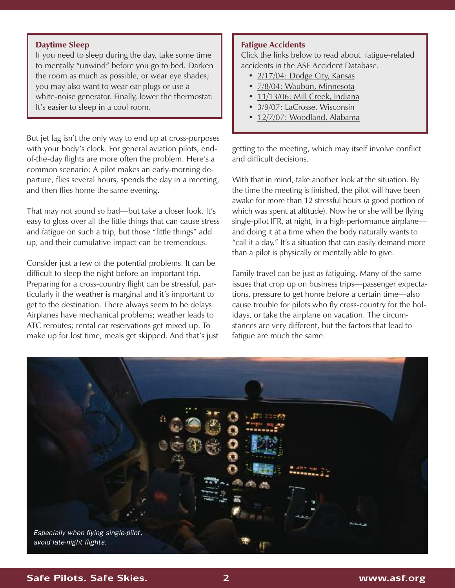## **Daytime Sleep**

If you need to sleep during the day, take some time to mentally "unwind" before you go to bed. Darken the room as much as possible, or wear eye shades; you may also want to wear ear plugs or use a white-noise generator. Finally, lower the thermostat: It's easier to sleep in a cool room.

But jet lag isn't the only way to end up at cross-purposes with your body's clock. For general aviation pilots, endof-the-day flights are more often the problem. Here's a common scenario: A pilot makes an early-morning departure, flies several hours, spends the day in a meeting, and then flies home the same evening.

That may not sound so bad—but take a closer look. It's easy to gloss over all the little things that can cause stress and fatigue on such a trip, but those "little things" add up, and their cumulative impact can be tremendous.

Consider just a few of the potential problems. It can be difficult to sleep the night before an important trip. Preparing for a cross-country flight can be stressful, particularly if the weather is marginal and it's important to get to the destination. There always seem to be delays: Airplanes have mechanical problems; weather leads to ATC reroutes; rental car reservations get mixed up. To make up for lost time, meals get skipped. And that's just

### **Fatigue Accidents**

Click the links below to read about fatigue-related accidents in the ASF Accident Database.

- [2/17/04:](www.aopa.org/asf/ntsb/narrative.cfm?ackey=1&evid=20040220X00214) Dodge City, Kansas
- 7/8/04: Waubun, [Minnesota](www.aopa.org/asf/ntsb/narrative.cfm?ackey=1&evid=20040715X00984)
- [11/13/06:](www.aopa.org/asf/ntsb/narrative.cfm?ackey=1&evid=20061117X01689) Mill Creek, Indiana
- 3/9/07: LaCrosse, [Wisconsin](www.aopa.org/asf/ntsb/narrative.cfm?ackey=1&evid=20070503X00506)
- 12/7/07: [Woodland,](http://www.aopa.org/asf/ntsb/narrative.cfm?ackey=1&evid=20071211X01926) Alabama

getting to the meeting, which may itself involve conflict and difficult decisions.

With that in mind, take another look at the situation. By the time the meeting is finished, the pilot will have been awake for more than 12 stressful hours (a good portion of which was spent at altitude). Now he or she will be flying single-pilot IFR, at night, in a high-performance airplane and doing it at a time when the body naturally wants to "call it a day." It's a situation that can easily demand more than a pilot is physically or mentally able to give.

Family travel can be just as fatiguing. Many of the same issues that crop up on business trips—passenger expectations, pressure to get home before a certain time—also cause trouble for pilots who fly cross-country for the holidays, or take the airplane on vacation. The circumstances are very different, but the factors that lead to fatigue are much the same.



## **Safe Pilots. Safe Skies. 2 www.asf.org**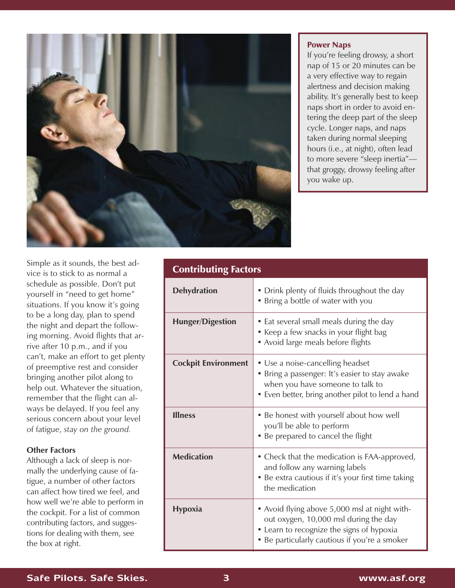

#### **Power Naps**

If you're feeling drowsy, a short nap of 15 or 20 minutes can be a very effective way to regain alertness and decision making ability. It's generally best to keep naps short in order to avoid entering the deep part of the sleep cycle. Longer naps, and naps taken during normal sleeping hours (i.e., at night), often lead to more severe "sleep inertia" that groggy, drowsy feeling after you wake up.

Simple as it sounds, the best advice is to stick to as normal a schedule as possible. Don't put yourself in "need to get home" situations. If you know it's going to be a long day, plan to spend the night and depart the following morning. Avoid flights that arrive after 10 p.m., and if you can't, make an effort to get plenty of preemptive rest and consider bringing another pilot along to help out. Whatever the situation, remember that the flight can always be delayed. If you feel any serious concern about your level of fatigue, *stay on the ground.*

# **Other Factors**

Although a lack of sleep is normally the underlying cause of fatigue, a number of other factors can affect how tired we feel, and how well we're able to perform in the cockpit. For a list of common contributing factors, and suggestions for dealing with them, see the box at right.

| <b>Contributing Factors</b> |                                                                                                                                                                                      |
|-----------------------------|--------------------------------------------------------------------------------------------------------------------------------------------------------------------------------------|
| <b>Dehydration</b>          | • Drink plenty of fluids throughout the day<br>• Bring a bottle of water with you                                                                                                    |
| <b>Hunger/Digestion</b>     | • Eat several small meals during the day<br>• Keep a few snacks in your flight bag<br>• Avoid large meals before flights                                                             |
| <b>Cockpit Environment</b>  | • Use a noise-cancelling headset<br>• Bring a passenger: It's easier to stay awake<br>when you have someone to talk to<br>• Even better, bring another pilot to lend a hand          |
| <b>Illness</b>              | • Be honest with yourself about how well<br>you'll be able to perform<br>• Be prepared to cancel the flight                                                                          |
| <b>Medication</b>           | • Check that the medication is FAA-approved,<br>and follow any warning labels<br>• Be extra cautious if it's your first time taking<br>the medication                                |
| <b>Hypoxia</b>              | • Avoid flying above 5,000 msl at night with-<br>out oxygen, 10,000 msl during the day<br>• Learn to recognize the signs of hypoxia<br>• Be particularly cautious if you're a smoker |